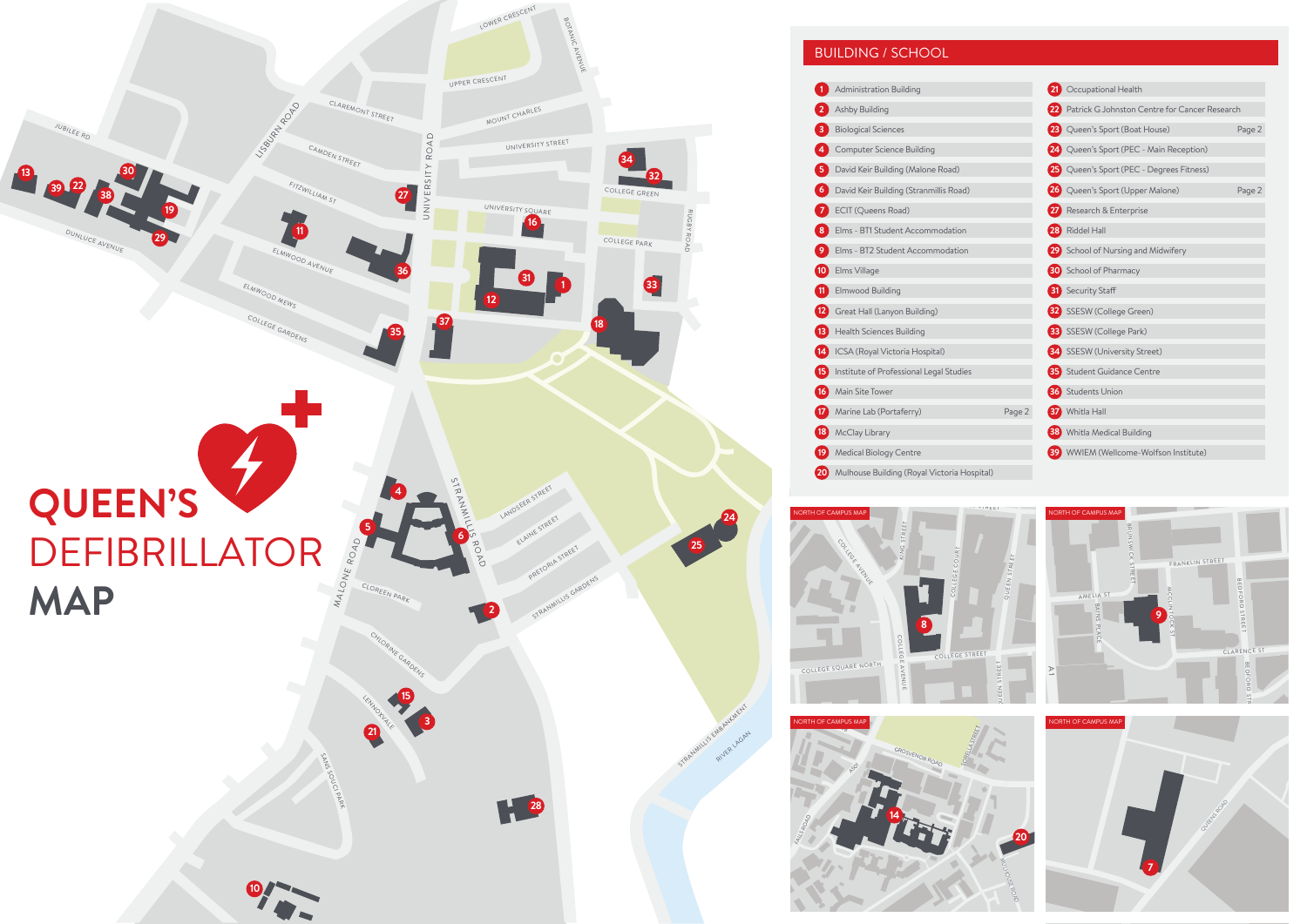

## BUILDING / SCHOOL